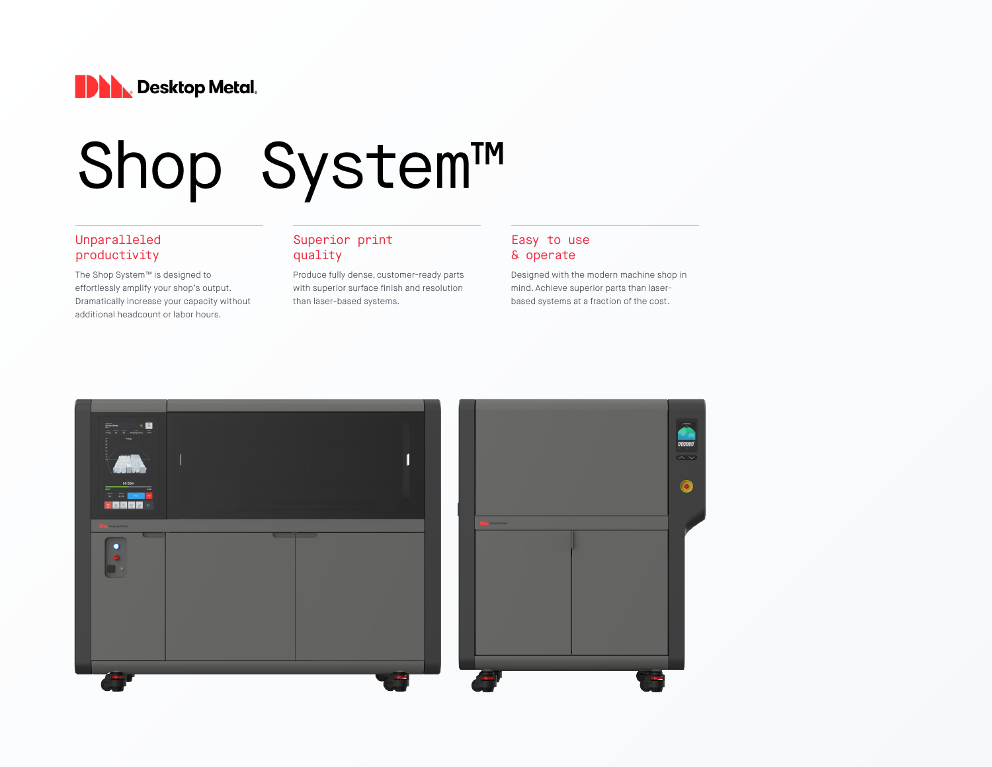

# Shop System™

#### Unparalleled productivity

The Shop System™ is designed to effortlessly amplify your shop's output. Dramatically increase your capacity without additional headcount or labor hours.

#### Superior print quality

Produce fully dense, customer-ready parts with superior surface finish and resolution than laser-based systems.

#### Easy to use & operate

Designed with the modern machine shop in mind. Achieve superior parts than laserbased systems at a fraction of the cost.

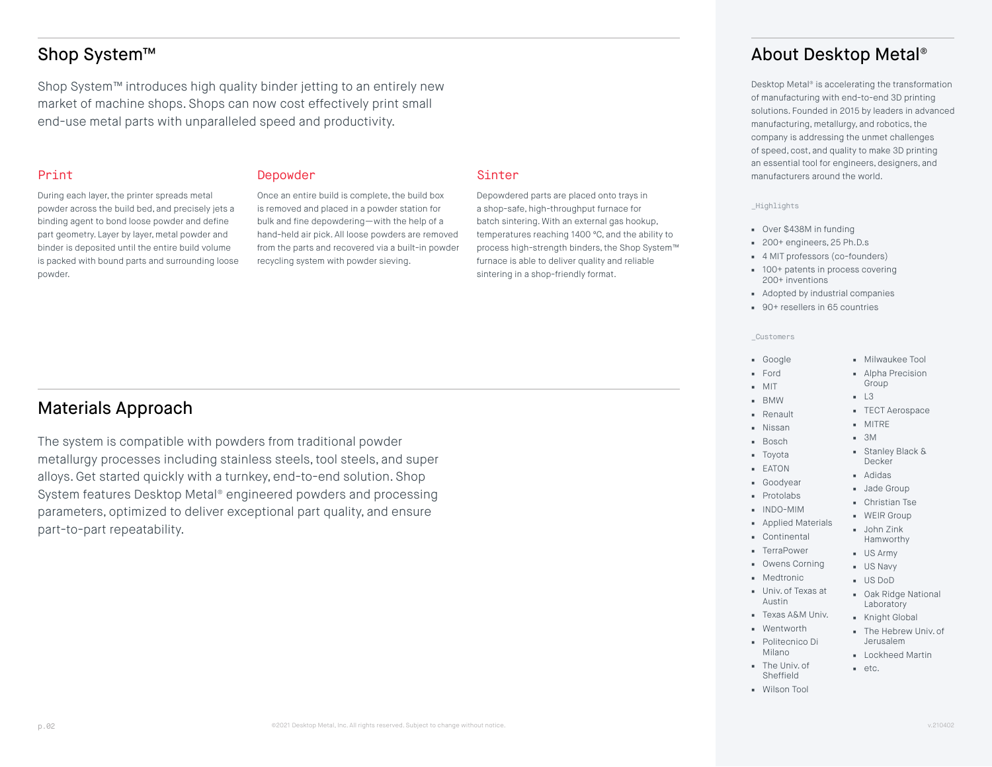Shop System™ introduces high quality binder jetting to an entirely new market of machine shops. Shops can now cost effectively print small end-use metal parts with unparalleled speed and productivity.

The system is compatible with powders from traditional powder metallurgy processes including stainless steels, tool steels, and super alloys. Get started quickly with a turnkey, end-to-end solution. Shop System features Desktop Metal® engineered powders and processing parameters, optimized to deliver exceptional part quality, and ensure

#### Print

During each layer, the printer spreads metal powder across the build bed, and precisely jets a binding agent to bond loose powder and define part geometry. Layer by layer, metal powder and binder is deposited until the entire build volume is packed with bound parts and surrounding loose powder.

Materials Approach

part-to-part repeatability.

#### Depowder

Once an entire build is complete, the build box is removed and placed in a powder station for bulk and fine depowdering—with the help of a hand-held air pick. All loose powders are removed from the parts and recovered via a built-in powder recycling system with powder sieving.

#### Sinter

Depowdered parts are placed onto trays in a shop-safe, high-throughput furnace for batch sintering. With an external gas hookup, temperatures reaching 1400 ºC, and the ability to process high-strength binders, the Shop System™ furnace is able to deliver quality and reliable sintering in a shop-friendly format.

# Shop System™ About Desktop Metal®

Desktop Metal® is accelerating the transformation of manufacturing with end-to-end 3D printing solutions. Founded in 2015 by leaders in advanced manufacturing, metallurgy, and robotics, the company is addressing the unmet challenges of speed, cost, and quality to make 3D printing an essential tool for engineers, designers, and manufacturers around the world.

#### \_Highlights

- Over \$438M in funding
- 200+ engineers, 25 Ph.D.s
- 4 MIT professors (co-founders)
- 100+ patents in process covering 200+ inventions
- Adopted by industrial companies
- 90<sup>+</sup> resellers in 65 countries

#### \_Customers

#### ■ Google

- Milwaukee Tool ■ Alpha Precision
- Ford ■ MIT ■ BMW

■ Nissan ■ Bosch

- Group
	- L3
	- TECT Aerospace
	- MITRE
	- 3M
	- Stanley Black & Decker
- Adidas
- Jade Group
- Christian Tse ■ WEIR Group

■ John Zink Hamworthy

- 
- Applied Materials
- Continental
- US Army
- US Navy
	- US DoD
- Oak Ridge National Laboratory
	- Knight Global
	- The Hebrew Univ. of Jerusalem
	- Lockheed Martin
	- etc.
- 
- Renault
	-
- Toyota
- EATON
- Goodyear
- Protolabs
- INDO-MIM
- 
- TerraPower
	- Owens Corning
	- Medtronic
	- Univ. of Texas at Austin
- Texas A&M Univ.
- Wentworth ■ Politecnico Di
- Milano
- The Univ. of Sheffield
- Wilson Tool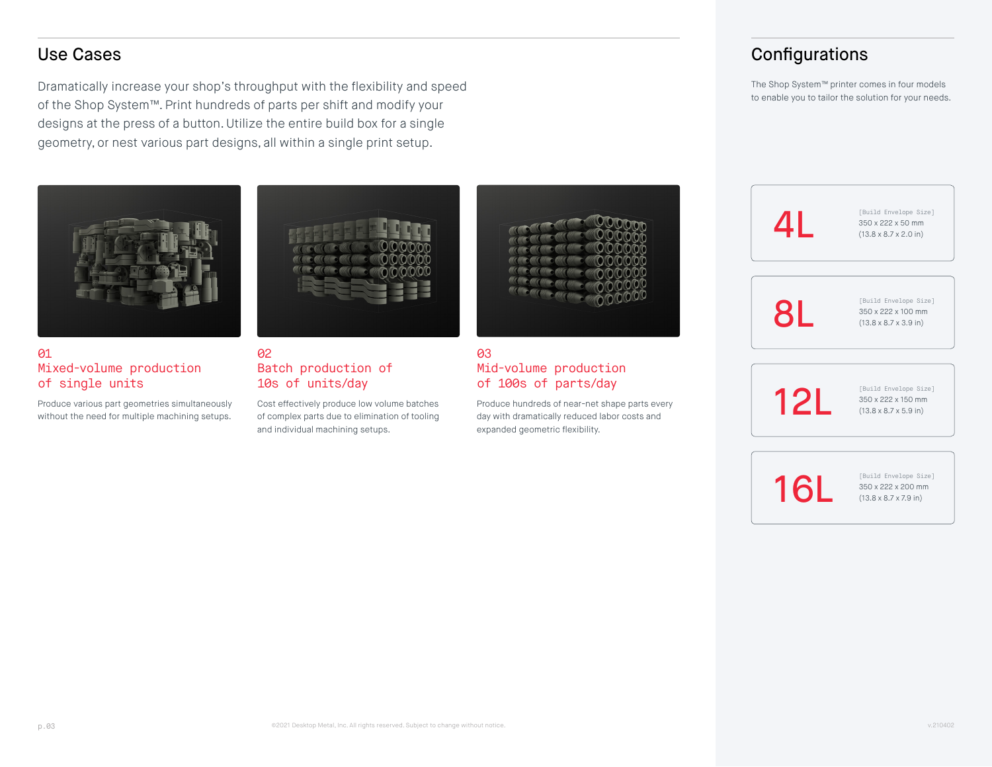Dramatically increase your shop's throughput with the flexibility and speed of the Shop System™. Print hundreds of parts per shift and modify your designs at the press of a button. Utilize the entire build box for a single geometry, or nest various part designs, all within a single print setup.



#### **01** Mixed-volume production of single units

Produce various part geometries simultaneously without the need for multiple machining setups.



#### 02 Batch production of 10s of units/day

Cost effectively produce low volume batches of complex parts due to elimination of tooling and individual machining setups.



#### 03 Mid-volume production of 100s of parts/day

Produce hundreds of near-net shape parts every day with dramatically reduced labor costs and expanded geometric flexibility.

# Use Cases **Configurations** Configurations

The Shop System™ printer comes in four models to enable you to tailor the solution for your needs.

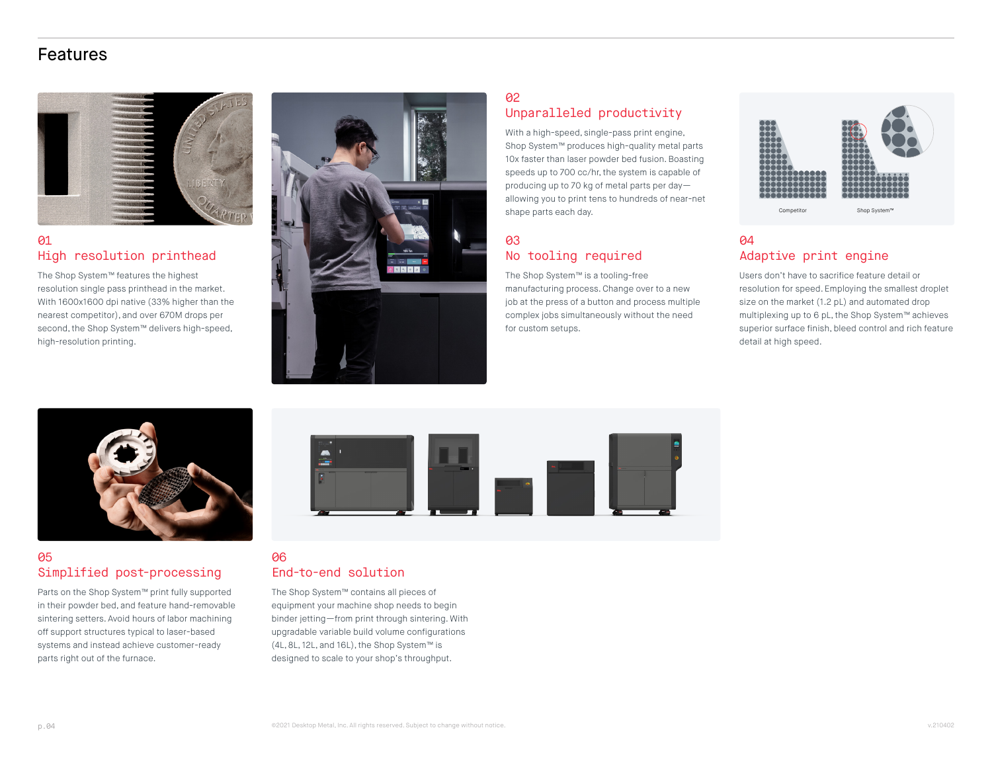# Features



#### **01** High resolution printhead

The Shop System™ features the highest resolution single pass printhead in the market. With 1600x1600 dpi native (33% higher than the nearest competitor), and over 670M drops per second, the Shop System™ delivers high-speed, high-resolution printing.



## 02 Unparalleled productivity

With a high-speed, single-pass print engine, Shop System™ produces high-quality metal parts 10x faster than laser powder bed fusion. Boasting speeds up to 700 cc/hr, the system is capable of producing up to 70 kg of metal parts per day allowing you to print tens to hundreds of near-net shape parts each day.

#### 03 No tooling required

The Shop System™ is a tooling-free manufacturing process. Change over to a new job at the press of a button and process multiple complex jobs simultaneously without the need for custom setups.



#### 04 Adaptive print engine

Users don't have to sacrifice feature detail or resolution for speed. Employing the smallest droplet size on the market (1.2 pL) and automated drop multiplexing up to 6 pL, the Shop System™ achieves superior surface finish, bleed control and rich feature detail at high speed.



#### 05 Simplified post-processing

Parts on the Shop System™ print fully supported in their powder bed, and feature hand-removable sintering setters. Avoid hours of labor machining off support structures typical to laser-based systems and instead achieve customer-ready parts right out of the furnace.



#### 06 End-to-end solution

The Shop System™ contains all pieces of equipment your machine shop needs to begin binder jetting—from print through sintering. With upgradable variable build volume configurations (4L, 8L, 12L, and 16L), the Shop System™ is designed to scale to your shop's throughput.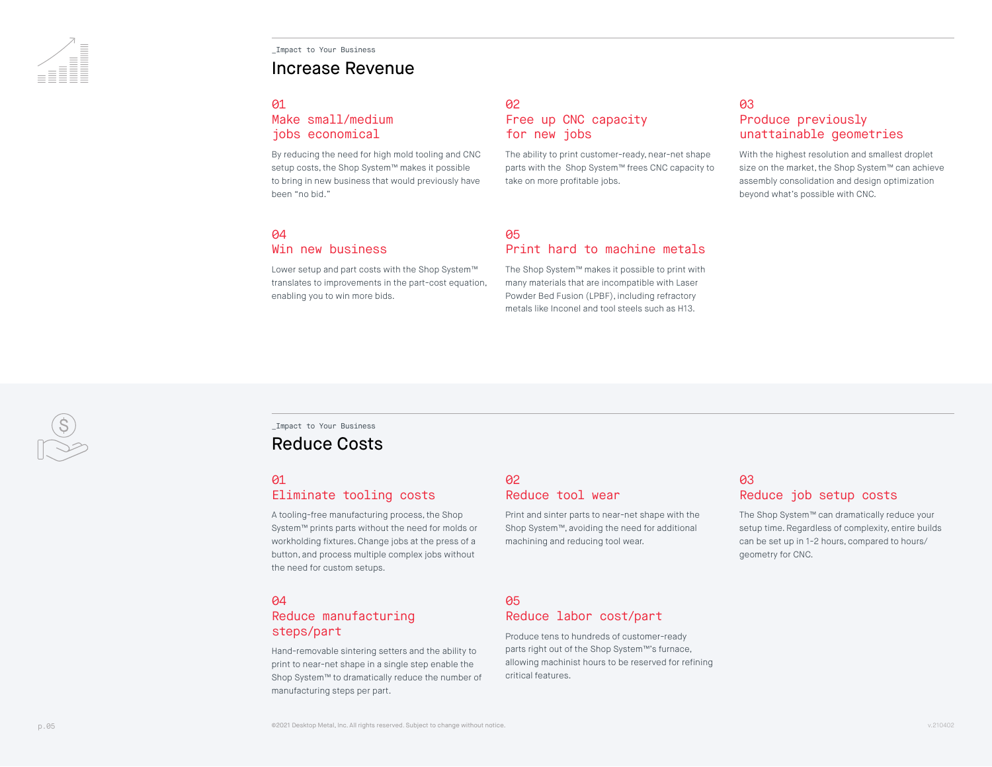\_Impact to Your Business

#### Increase Revenue

#### **01**

#### Make small/medium jobs economical

By reducing the need for high mold tooling and CNC setup costs, the Shop System™ makes it possible to bring in new business that would previously have been "no bid."

#### 02 Free up CNC capacity for new jobs

The ability to print customer-ready, near-net shape parts with the Shop System™ frees CNC capacity to take on more profitable jobs.

#### 03 Produce previously unattainable geometries

With the highest resolution and smallest droplet size on the market, the Shop System™ can achieve assembly consolidation and design optimization beyond what's possible with CNC.

#### **04**

#### Win new business

Lower setup and part costs with the Shop System™ translates to improvements in the part-cost equation, enabling you to win more bids.

#### **05** Print hard to machine metals

The Shop System™ makes it possible to print with many materials that are incompatible with Laser Powder Bed Fusion (LPBF), including refractory metals like Inconel and tool steels such as H13.

#### \_Impact to Your Business Reduce Costs

#### 01

# Eliminate tooling costs

A tooling-free manufacturing process, the Shop System™ prints parts without the need for molds or workholding fixtures. Change jobs at the press of a button, and process multiple complex jobs without the need for custom setups.

#### 04

#### Reduce manufacturing steps/part

Hand-removable sintering setters and the ability to print to near-net shape in a single step enable the Shop System™ to dramatically reduce the number of manufacturing steps per part.

#### 02 Reduce tool wear

Print and sinter parts to near-net shape with the Shop System™, avoiding the need for additional machining and reducing tool wear.

## 03 Reduce job setup costs

The Shop System™ can dramatically reduce your setup time. Regardless of complexity, entire builds can be set up in 1-2 hours, compared to hours/ geometry for CNC.

#### 05 Reduce labor cost/part

Produce tens to hundreds of customer-ready parts right out of the Shop System™'s furnace, allowing machinist hours to be reserved for refining critical features.